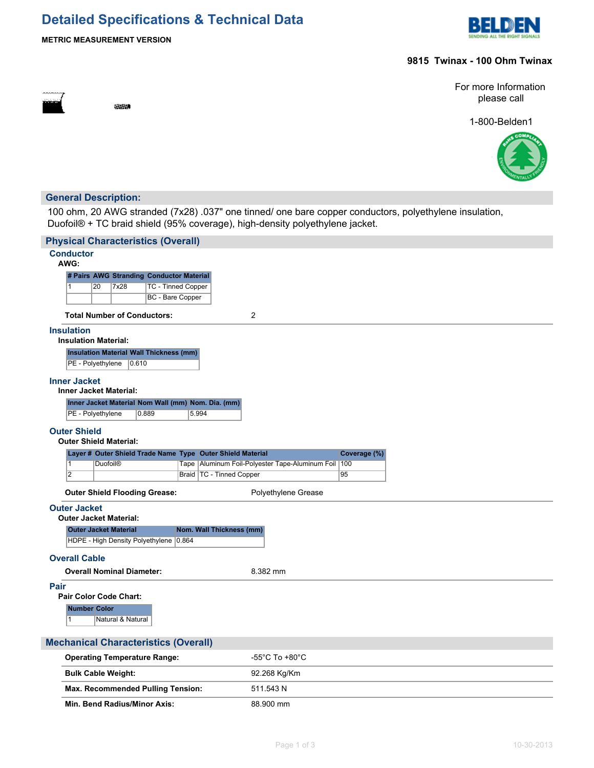# **Detailed Specifications & Technical Data**



**METRIC MEASUREMENT VERSION**

**SECOND** 

# **9815 Twinax - 100 Ohm Twinax**

For more Information please call

1-800-Belden1



# **General Description:**

100 ohm, 20 AWG stranded (7x28) .037" one tinned/ one bare copper conductors, polyethylene insulation, Duofoil® + TC braid shield (95% coverage), high-density polyethylene jacket.

| <b>Physical Characteristics (Overall)</b>                                       |                                                        |  |  |  |  |  |
|---------------------------------------------------------------------------------|--------------------------------------------------------|--|--|--|--|--|
| <b>Conductor</b><br>AWG:                                                        |                                                        |  |  |  |  |  |
| # Pairs AWG Stranding Conductor Material                                        |                                                        |  |  |  |  |  |
| <b>TC - Tinned Copper</b><br>$\vert$ 1<br>20<br>7x28<br><b>BC</b> - Bare Copper |                                                        |  |  |  |  |  |
|                                                                                 |                                                        |  |  |  |  |  |
| <b>Total Number of Conductors:</b>                                              | $\overline{c}$                                         |  |  |  |  |  |
| <b>Insulation</b><br><b>Insulation Material:</b>                                |                                                        |  |  |  |  |  |
| <b>Insulation Material Wall Thickness (mm)</b><br>PE - Polyethylene<br> 0.610   |                                                        |  |  |  |  |  |
| <b>Inner Jacket</b><br><b>Inner Jacket Material:</b>                            |                                                        |  |  |  |  |  |
| Inner Jacket Material Nom Wall (mm) Nom. Dia. (mm)                              |                                                        |  |  |  |  |  |
| 0.889<br>5.994<br>PE - Polyethylene                                             |                                                        |  |  |  |  |  |
| <b>Outer Shield</b><br><b>Outer Shield Material:</b>                            |                                                        |  |  |  |  |  |
| Layer # Outer Shield Trade Name Type Outer Shield Material                      | Coverage (%)                                           |  |  |  |  |  |
| $\vert$ 1<br><b>Duofoil®</b>                                                    | Tape Aluminum Foil-Polyester Tape-Aluminum Foil<br>100 |  |  |  |  |  |
| $\overline{2}$<br>Braid   TC - Tinned Copper                                    | 95                                                     |  |  |  |  |  |
| <b>Outer Shield Flooding Grease:</b>                                            | Polyethylene Grease                                    |  |  |  |  |  |
| <b>Outer Jacket</b><br><b>Outer Jacket Material:</b>                            |                                                        |  |  |  |  |  |
| Nom. Wall Thickness (mm)<br><b>Outer Jacket Material</b>                        |                                                        |  |  |  |  |  |
| HDPE - High Density Polyethylene 0.864                                          |                                                        |  |  |  |  |  |
| <b>Overall Cable</b>                                                            |                                                        |  |  |  |  |  |
| <b>Overall Nominal Diameter:</b>                                                | 8.382 mm                                               |  |  |  |  |  |
| Pair<br>Pair Color Code Chart:                                                  |                                                        |  |  |  |  |  |
| <b>Number Color</b><br>Natural & Natural<br>$\mathbf{1}$                        |                                                        |  |  |  |  |  |
| <b>Mechanical Characteristics (Overall)</b>                                     |                                                        |  |  |  |  |  |
| <b>Operating Temperature Range:</b>                                             | -55°C To +80°C                                         |  |  |  |  |  |

| Operating Temperature Range:             | $-55^\circ$ U 10 $+80^\circ$ U |
|------------------------------------------|--------------------------------|
| <b>Bulk Cable Weight:</b>                | 92.268 Kg/Km                   |
| <b>Max. Recommended Pulling Tension:</b> | 511.543 N                      |
| Min. Bend Radius/Minor Axis:             | 88.900 mm                      |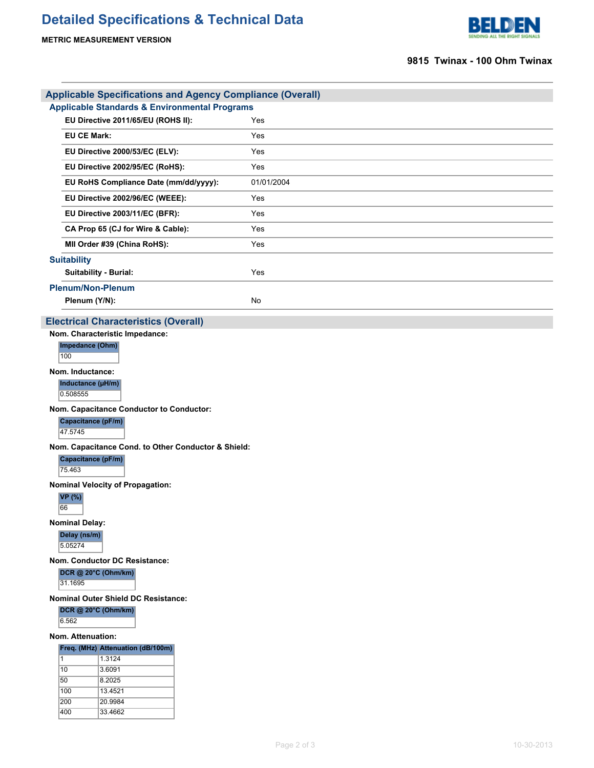**METRIC MEASUREMENT VERSION**



# **9815 Twinax - 100 Ohm Twinax**

| <b>Applicable Specifications and Agency Compliance (Overall)</b> |            |
|------------------------------------------------------------------|------------|
| <b>Applicable Standards &amp; Environmental Programs</b>         |            |
| EU Directive 2011/65/EU (ROHS II):                               | Yes        |
| <b>EU CE Mark:</b>                                               | Yes        |
| EU Directive 2000/53/EC (ELV):                                   | Yes        |
| EU Directive 2002/95/EC (RoHS):                                  | Yes        |
| EU RoHS Compliance Date (mm/dd/yyyy):                            | 01/01/2004 |
| EU Directive 2002/96/EC (WEEE):                                  | Yes        |
| EU Directive 2003/11/EC (BFR):                                   | Yes        |
| CA Prop 65 (CJ for Wire & Cable):                                | Yes        |
| MII Order #39 (China RoHS):                                      | Yes        |
| <b>Suitability</b>                                               |            |
| <b>Suitability - Burial:</b>                                     | Yes        |
| <b>Plenum/Non-Plenum</b>                                         |            |
| Plenum (Y/N):                                                    | No         |
| <b>Eloctrical Charactoristics (Ovorall)</b>                      |            |

#### **Electrical Characteristics (Overall)**

**Nom. Characteristic Impedance: Impedance (Ohm)** 100

**Nom. Inductance:**

**Inductance (µH/m)** 0.508555

**Nom. Capacitance Conductor to Conductor:**

**Capacitance (pF/m)**

47.5745

**Nom. Capacitance Cond. to Other Conductor & Shield:**

**Capacitance (pF/m)** 75.463

**Nominal Velocity of Propagation:**

**VP (%)** 66

**Nominal Delay:**

**Delay (ns/m)**

5.05274

**Nom. Conductor DC Resistance:**

**DCR @ 20°C (Ohm/km)**

31.1695

**Nominal Outer Shield DC Resistance:**

**DCR @ 20°C (Ohm/km)**

6.562

### **Nom. Attenuation:**

**Freq. (MHz) Attenuation (dB/100m)**

| 1   | 1.3124  |
|-----|---------|
| 10  | 3.6091  |
| 50  | 8 2025  |
| 100 | 13.4521 |
| 200 | 20.9984 |
| 400 | 33.4662 |